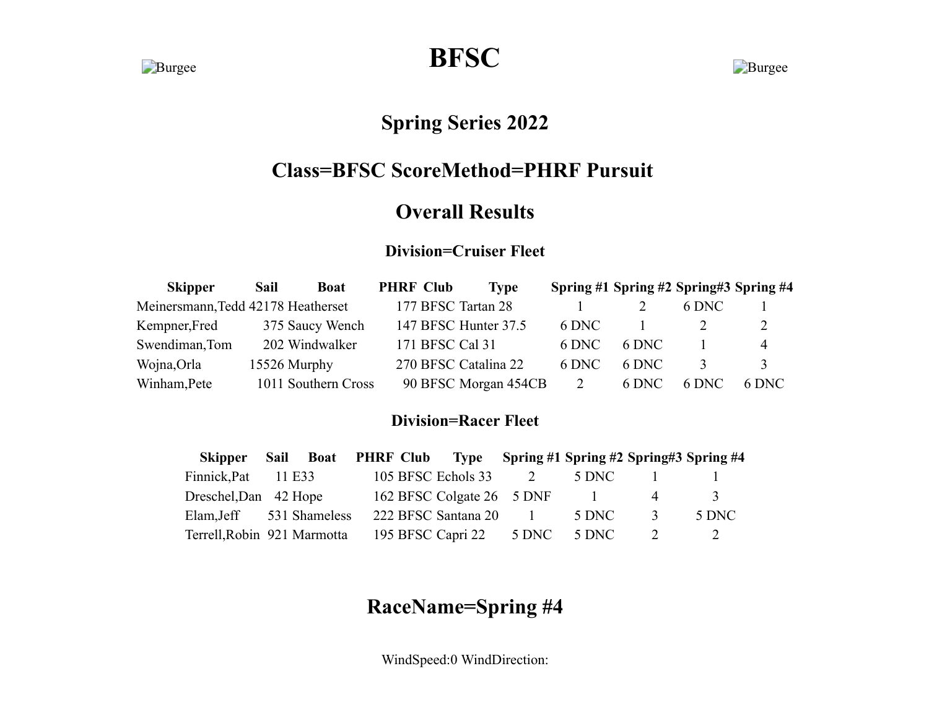**Burgee BFSC** Burgee

# **Spring Series 2022**

# **Class=BFSC ScoreMethod=PHRF Pursuit**

## **Overall Results**

#### **Division=Cruiser Fleet**

| <b>Skipper</b>                     | Sail         | <b>Boat</b>         | <b>PHRF Club</b> | <b>Type</b>          |       |       | Spring #1 Spring #2 Spring#3 Spring #4 |                |
|------------------------------------|--------------|---------------------|------------------|----------------------|-------|-------|----------------------------------------|----------------|
| Meinersmann, Tedd 42178 Heatherset |              |                     |                  | 177 BFSC Tartan 28   |       |       | 6 DNC                                  |                |
| Kempner, Fred                      |              | 375 Saucy Wench     |                  | 147 BFSC Hunter 37.5 | 6 DNC |       |                                        | 2              |
| Swendiman, Tom                     |              | 202 Windwalker      |                  | 171 BFSC Cal 31      | 6 DNC | 6 DNC |                                        | $\overline{4}$ |
| Wojna, Orla                        | 15526 Murphy |                     |                  | 270 BFSC Catalina 22 | 6 DNC | 6 DNC |                                        | 3              |
| Winham, Pete                       |              | 1011 Southern Cross |                  | 90 BFSC Morgan 454CB | 2     | 6 DNC | 6 DNC                                  | 6 DNC          |

#### **Division=Racer Fleet**

| <b>Skipper</b>              | Sail   |  | Boat PHRF Club Type Spring #1 Spring #2 Spring #3 Spring #4 |                            |       |               |               |
|-----------------------------|--------|--|-------------------------------------------------------------|----------------------------|-------|---------------|---------------|
| Finnick, Pat                | 11 E33 |  | 105 BFSC Echols 33                                          |                            | 5 DNC |               |               |
| Dreschel, Dan 42 Hope       |        |  | 162 BFSC Colgate 26 5 DNF                                   |                            |       | $\Delta$      | $\mathcal{R}$ |
| Elam, Jeff 531 Shameless    |        |  | 222 BFSC Santana 20                                         | and the state of the state | 5 DNC | $\mathcal{R}$ | 5 DNC         |
| Terrell, Robin 921 Marmotta |        |  | 195 BFSC Capri 22                                           | 5 DNC                      | 5 DNC |               |               |

# **RaceName=Spring #4**

WindSpeed:0 WindDirection: